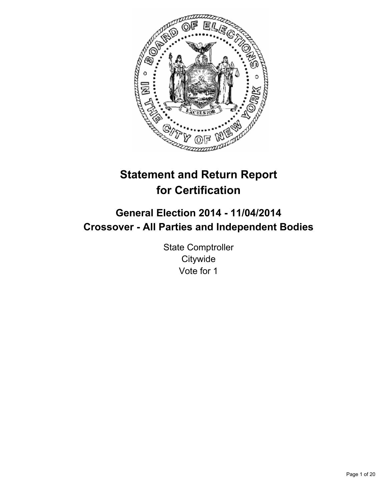

# **Statement and Return Report for Certification**

# **General Election 2014 - 11/04/2014 Crossover - All Parties and Independent Bodies**

State Comptroller **Citywide** Vote for 1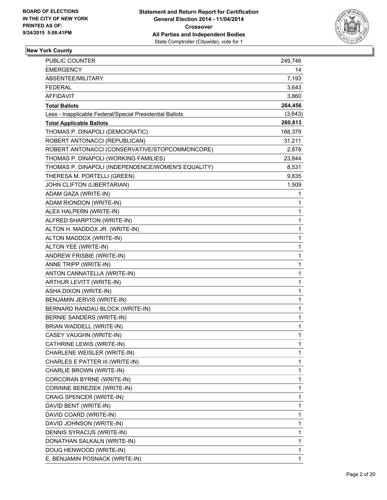

## **New York County**

| PUBLIC COUNTER                                           | 249,746      |
|----------------------------------------------------------|--------------|
| EMERGENCY                                                | 14           |
| ABSENTEE/MILITARY                                        | 7,193        |
| <b>FEDERAL</b>                                           | 3,643        |
| AFFIDAVIT                                                | 3,860        |
| <b>Total Ballots</b>                                     | 264,456      |
| Less - Inapplicable Federal/Special Presidential Ballots | (3,643)      |
| <b>Total Applicable Ballots</b>                          | 260,813      |
| THOMAS P. DINAPOLI (DEMOCRATIC)                          | 168,379      |
| ROBERT ANTONACCI (REPUBLICAN)                            | 31,211       |
| ROBERT ANTONACCI (CONSERVATIVE/STOPCOMMONCORE)           | 2,878        |
| THOMAS P. DINAPOLI (WORKING FAMILIES)                    | 23,844       |
| THOMAS P. DINAPOLI (INDEPENDENCE/WOMEN'S EQUALITY)       | 8,531        |
| THERESA M. PORTELLI (GREEN)                              | 9,835        |
| JOHN CLIFTON (LIBERTARIAN)                               | 1,509        |
| ADAM GAZA (WRITE-IN)                                     | 1            |
| ADAM RIONDON (WRITE-IN)                                  | 1            |
| ALEX HALPERN (WRITE-IN)                                  | 1            |
| ALFRED SHARPTON (WRITE-IN)                               | 1            |
| ALTON H. MADDOX JR. (WRITE-IN)                           | 1            |
| ALTON MADDOX (WRITE-IN)                                  | $\mathbf{1}$ |
| ALTON YEE (WRITE-IN)                                     | $\mathbf 1$  |
| ANDREW FRISBIE (WRITE-IN)                                | 1            |
| ANNE TRIPP (WRITE-IN)                                    | $\mathbf{1}$ |
| ANTON CANNATELLA (WRITE-IN)                              | 1            |
| ARTHUR LEVITT (WRITE-IN)                                 | 1            |
| ASHA DIXON (WRITE-IN)                                    | $\mathbf{1}$ |
| BENJAMIN JERVIS (WRITE-IN)                               | $\mathbf 1$  |
| BERNARD RANDAU BLOCK (WRITE-IN)                          | 1            |
| BERNIE SANDERS (WRITE-IN)                                | 1            |
| BRIAN WADDELL (WRITE-IN)                                 | 1            |
| CASEY VAUGHN (WRITE-IN)                                  | $\mathbf{1}$ |
| CATHRINE LEWIS (WRITE-IN)                                | 1            |
| CHARLENE WEISLER (WRITE-IN)                              | 1            |
| CHARLES E PATTER III (WRITE-IN)                          | 1            |
| CHARLIE BROWN (WRITE-IN)                                 | $\mathbf{1}$ |
| CORCORAN BYRNE (WRITE-IN)                                | 1            |
| CORINNE BEREZIEK (WRITE-IN)                              | 1            |
| CRAIG SPENCER (WRITE-IN)                                 | 1            |
| DAVID BENT (WRITE-IN)                                    | 1            |
| DAVID COARD (WRITE-IN)                                   | 1            |
| DAVID JOHNSON (WRITE-IN)                                 | $\mathbf{1}$ |
| DENNIS SYRACUS (WRITE-IN)                                | $\mathbf 1$  |
| DONATHAN SALKALN (WRITE-IN)                              | 1            |
| DOUG HENWOOD (WRITE-IN)                                  | 1            |
| E. BENJAMIN POSNACK (WRITE-IN)                           | $\mathbf{1}$ |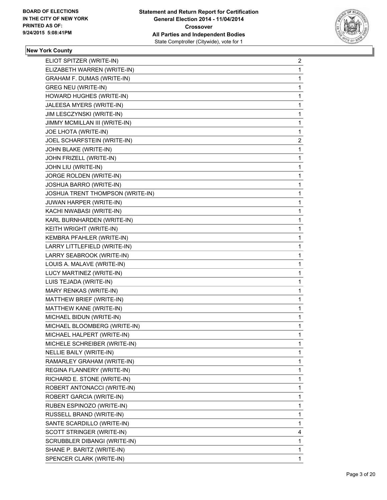

## **New York County**

| ELIOT SPITZER (WRITE-IN)         | 2              |
|----------------------------------|----------------|
| ELIZABETH WARREN (WRITE-IN)      | 1              |
| GRAHAM F. DUMAS (WRITE-IN)       | 1              |
| <b>GREG NEU (WRITE-IN)</b>       | 1              |
| HOWARD HUGHES (WRITE-IN)         | 1              |
| JALEESA MYERS (WRITE-IN)         | 1              |
| JIM LESCZYNSKI (WRITE-IN)        | 1              |
| JIMMY MCMILLAN III (WRITE-IN)    | 1              |
| JOE LHOTA (WRITE-IN)             | 1              |
| JOEL SCHARFSTEIN (WRITE-IN)      | $\overline{2}$ |
| JOHN BLAKE (WRITE-IN)            | 1              |
| JOHN FRIZELL (WRITE-IN)          | 1              |
| JOHN LIU (WRITE-IN)              | 1              |
| JORGE ROLDEN (WRITE-IN)          | 1              |
| JOSHUA BARRO (WRITE-IN)          | 1              |
| JOSHUA TRENT THOMPSON (WRITE-IN) | 1              |
| <b>JUWAN HARPER (WRITE-IN)</b>   | 1              |
| KACHI NWABASI (WRITE-IN)         | 1              |
| KARL BURNHARDEN (WRITE-IN)       | 1              |
| KEITH WRIGHT (WRITE-IN)          | 1              |
| KEMBRA PFAHLER (WRITE-IN)        | 1              |
| LARRY LITTLEFIELD (WRITE-IN)     | 1              |
| LARRY SEABROOK (WRITE-IN)        | 1              |
| LOUIS A. MALAVE (WRITE-IN)       | 1              |
| LUCY MARTINEZ (WRITE-IN)         | 1              |
| LUIS TEJADA (WRITE-IN)           | 1              |
| MARY RENKAS (WRITE-IN)           | 1              |
| MATTHEW BRIEF (WRITE-IN)         | 1              |
| MATTHEW KANE (WRITE-IN)          | 1              |
| MICHAEL BIDUN (WRITE-IN)         | 1              |
| MICHAEL BLOOMBERG (WRITE-IN)     | 1              |
| MICHAEL HALPERT (WRITE-IN)       | 1              |
| MICHELE SCHREIBER (WRITE-IN)     | 1              |
| <b>NELLIE BAILY (WRITE-IN)</b>   | $\mathbf{1}$   |
| RAMARLEY GRAHAM (WRITE-IN)       | 1              |
| REGINA FLANNERY (WRITE-IN)       | 1              |
| RICHARD E. STONE (WRITE-IN)      | 1              |
| ROBERT ANTONACCI (WRITE-IN)      | 1              |
| ROBERT GARCIA (WRITE-IN)         | 1              |
| RUBEN ESPINOZO (WRITE-IN)        | 1              |
| RUSSELL BRAND (WRITE-IN)         | 1              |
| SANTE SCARDILLO (WRITE-IN)       | 1              |
| SCOTT STRINGER (WRITE-IN)        | 4              |
| SCRUBBLER DIBANGI (WRITE-IN)     | $\mathbf{1}$   |
| SHANE P. BARITZ (WRITE-IN)       | 1              |
| SPENCER CLARK (WRITE-IN)         | $\mathbf 1$    |
|                                  |                |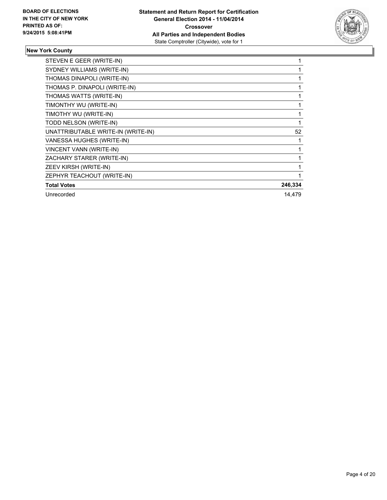

# **New York County**

| STEVEN E GEER (WRITE-IN)           |         |
|------------------------------------|---------|
| SYDNEY WILLIAMS (WRITE-IN)         |         |
| THOMAS DINAPOLI (WRITE-IN)         |         |
| THOMAS P. DINAPOLI (WRITE-IN)      |         |
| THOMAS WATTS (WRITE-IN)            |         |
| TIMONTHY WU (WRITE-IN)             |         |
| TIMOTHY WU (WRITE-IN)              |         |
| TODD NELSON (WRITE-IN)             |         |
| UNATTRIBUTABLE WRITE-IN (WRITE-IN) | 52      |
| VANESSA HUGHES (WRITE-IN)          |         |
| <b>VINCENT VANN (WRITE-IN)</b>     |         |
| ZACHARY STARER (WRITE-IN)          |         |
| ZEEV KIRSH (WRITE-IN)              |         |
| ZEPHYR TEACHOUT (WRITE-IN)         |         |
| <b>Total Votes</b>                 | 246,334 |
| Unrecorded                         | 14,479  |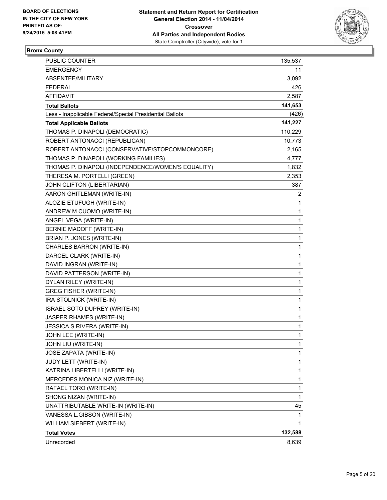

## **Bronx County**

| <b>PUBLIC COUNTER</b>                                    | 135,537      |
|----------------------------------------------------------|--------------|
| <b>EMERGENCY</b>                                         | 11           |
| ABSENTEE/MILITARY                                        | 3,092        |
| <b>FEDERAL</b>                                           | 426          |
| AFFIDAVIT                                                | 2,587        |
| <b>Total Ballots</b>                                     | 141,653      |
| Less - Inapplicable Federal/Special Presidential Ballots | (426)        |
| <b>Total Applicable Ballots</b>                          | 141,227      |
| THOMAS P. DINAPOLI (DEMOCRATIC)                          | 110,229      |
| ROBERT ANTONACCI (REPUBLICAN)                            | 10,773       |
| ROBERT ANTONACCI (CONSERVATIVE/STOPCOMMONCORE)           | 2,165        |
| THOMAS P. DINAPOLI (WORKING FAMILIES)                    | 4,777        |
| THOMAS P. DINAPOLI (INDEPENDENCE/WOMEN'S EQUALITY)       | 1,832        |
| THERESA M. PORTELLI (GREEN)                              | 2,353        |
| JOHN CLIFTON (LIBERTARIAN)                               | 387          |
| AARON GHITLEMAN (WRITE-IN)                               | $\mathbf{2}$ |
| ALOZIE ETUFUGH (WRITE-IN)                                | 1            |
| ANDREW M CUOMO (WRITE-IN)                                | 1            |
| ANGEL VEGA (WRITE-IN)                                    | 1            |
| BERNIE MADOFF (WRITE-IN)                                 | 1            |
| BRIAN P. JONES (WRITE-IN)                                | $\mathbf{1}$ |
| CHARLES BARRON (WRITE-IN)                                | $\mathbf{1}$ |
| DARCEL CLARK (WRITE-IN)                                  | 1            |
| DAVID INGRAN (WRITE-IN)                                  | $\mathbf{1}$ |
| DAVID PATTERSON (WRITE-IN)                               | 1            |
| DYLAN RILEY (WRITE-IN)                                   | 1            |
| <b>GREG FISHER (WRITE-IN)</b>                            | $\mathbf{1}$ |
| IRA STOLNICK (WRITE-IN)                                  | $\mathbf{1}$ |
| ISRAEL SOTO DUPREY (WRITE-IN)                            | 1            |
| JASPER RHAMES (WRITE-IN)                                 | 1            |
| JESSICA S.RIVERA (WRITE-IN)                              | 1            |
| JOHN LEE (WRITE-IN)                                      | $\mathbf{1}$ |
| JOHN LIU (WRITE-IN)                                      | 1            |
| <b>JOSE ZAPATA (WRITE-IN)</b>                            | 1            |
| JUDY LETT (WRITE-IN)                                     | 1            |
| KATRINA LIBERTELLI (WRITE-IN)                            | $\mathbf{1}$ |
| MERCEDES MONICA NIZ (WRITE-IN)                           | 1            |
| RAFAEL TORO (WRITE-IN)                                   | 1            |
| SHONG NIZAN (WRITE-IN)                                   | 1            |
| UNATTRIBUTABLE WRITE-IN (WRITE-IN)                       | 45           |
| VANESSA L.GIBSON (WRITE-IN)                              | 1            |
| WILLIAM SIEBERT (WRITE-IN)                               | 1            |
| <b>Total Votes</b>                                       | 132,588      |
| Unrecorded                                               | 8,639        |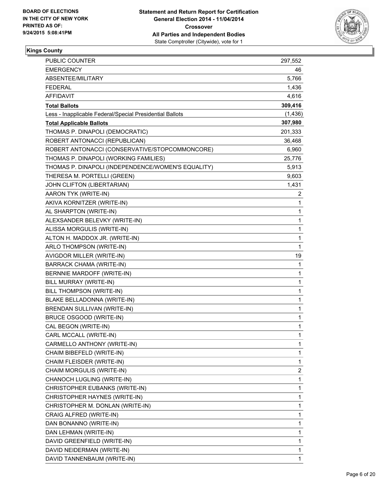

## **Kings County**

| <b>PUBLIC COUNTER</b>                                    | 297,552      |
|----------------------------------------------------------|--------------|
| <b>EMERGENCY</b>                                         | 46           |
| ABSENTEE/MILITARY                                        | 5,766        |
| <b>FEDERAL</b>                                           | 1,436        |
| <b>AFFIDAVIT</b>                                         | 4,616        |
| <b>Total Ballots</b>                                     | 309,416      |
| Less - Inapplicable Federal/Special Presidential Ballots | (1, 436)     |
| <b>Total Applicable Ballots</b>                          | 307,980      |
| THOMAS P. DINAPOLI (DEMOCRATIC)                          | 201,333      |
| ROBERT ANTONACCI (REPUBLICAN)                            | 36,468       |
| ROBERT ANTONACCI (CONSERVATIVE/STOPCOMMONCORE)           | 6,960        |
| THOMAS P. DINAPOLI (WORKING FAMILIES)                    | 25,776       |
| THOMAS P. DINAPOLI (INDEPENDENCE/WOMEN'S EQUALITY)       | 5,913        |
| THERESA M. PORTELLI (GREEN)                              | 9,603        |
| JOHN CLIFTON (LIBERTARIAN)                               | 1,431        |
| AARON TYK (WRITE-IN)                                     | 2            |
| AKIVA KORNITZER (WRITE-IN)                               | 1            |
| AL SHARPTON (WRITE-IN)                                   | 1            |
| ALEXSANDER BELEVKY (WRITE-IN)                            | 1            |
| ALISSA MORGULIS (WRITE-IN)                               | $\mathbf 1$  |
| ALTON H. MADDOX JR. (WRITE-IN)                           | 1            |
| ARLO THOMPSON (WRITE-IN)                                 | $\mathbf{1}$ |
| AVIGDOR MILLER (WRITE-IN)                                | 19           |
| <b>BARRACK CHAMA (WRITE-IN)</b>                          | 1            |
| BERNNIE MARDOFF (WRITE-IN)                               | 1            |
| BILL MURRAY (WRITE-IN)                                   | $\mathbf 1$  |
| BILL THOMPSON (WRITE-IN)                                 | 1            |
| BLAKE BELLADONNA (WRITE-IN)                              | 1            |
| BRENDAN SULLIVAN (WRITE-IN)                              | 1            |
| BRUCE OSGOOD (WRITE-IN)                                  | 1            |
| CAL BEGON (WRITE-IN)                                     | 1            |
| CARL MCCALL (WRITE-IN)                                   | 1            |
| CARMELLO ANTHONY (WRITE-IN)                              | 1            |
| CHAIM BIBEFELD (WRITE-IN)                                | 1            |
| CHAIM FLEISDER (WRITE-IN)                                | 1            |
| CHAIM MORGULIS (WRITE-IN)                                | 2            |
| CHANOCH LUGLING (WRITE-IN)                               | 1            |
| CHRISTOPHER EUBANKS (WRITE-IN)                           | $\mathbf 1$  |
| CHRISTOPHER HAYNES (WRITE-IN)                            | 1            |
| CHRISTOPHER M. DONLAN (WRITE-IN)                         | 1            |
| CRAIG ALFRED (WRITE-IN)                                  | 1            |
| DAN BONANNO (WRITE-IN)                                   | 1            |
| DAN LEHMAN (WRITE-IN)                                    | 1            |
| DAVID GREENFIELD (WRITE-IN)                              | 1            |
| DAVID NEIDERMAN (WRITE-IN)                               | 1            |
| DAVID TANNENBAUM (WRITE-IN)                              | 1            |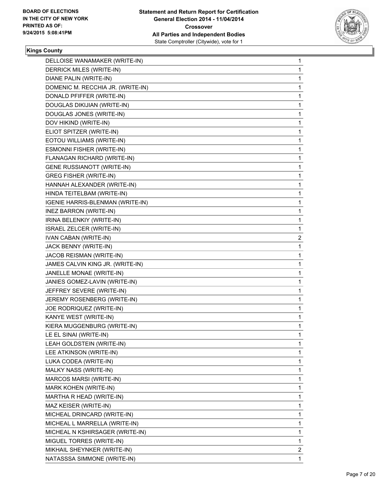

## **Kings County**

| DELLOISE WANAMAKER (WRITE-IN)     | 1            |
|-----------------------------------|--------------|
| DERRICK MILES (WRITE-IN)          | 1            |
| DIANE PALIN (WRITE-IN)            | 1            |
| DOMENIC M. RECCHIA JR. (WRITE-IN) | 1            |
| DONALD PFIFFER (WRITE-IN)         | 1            |
| DOUGLAS DIKIJIAN (WRITE-IN)       | 1            |
| DOUGLAS JONES (WRITE-IN)          | 1            |
| DOV HIKIND (WRITE-IN)             | 1            |
| ELIOT SPITZER (WRITE-IN)          | 1            |
| EOTOU WILLIAMS (WRITE-IN)         | 1            |
| ESMONNI FISHER (WRITE-IN)         | 1            |
| FLANAGAN RICHARD (WRITE-IN)       | 1            |
| <b>GENE RUSSIANOTT (WRITE-IN)</b> | 1            |
| <b>GREG FISHER (WRITE-IN)</b>     | 1            |
| HANNAH ALEXANDER (WRITE-IN)       | 1            |
| HINDA TEITELBAM (WRITE-IN)        | 1            |
| IGENIE HARRIS-BLENMAN (WRITE-IN)  | 1            |
| INEZ BARRON (WRITE-IN)            | 1            |
| IRINA BELENKIY (WRITE-IN)         | 1            |
| ISRAEL ZELCER (WRITE-IN)          | 1            |
| <b>IVAN CABAN (WRITE-IN)</b>      | 2            |
| JACK BENNY (WRITE-IN)             | 1            |
| JACOB REISMAN (WRITE-IN)          | 1            |
| JAMES CALVIN KING JR. (WRITE-IN)  | 1            |
| JANELLE MONAE (WRITE-IN)          | 1            |
| JANIES GOMEZ-LAVIN (WRITE-IN)     | 1            |
| JEFFREY SEVERE (WRITE-IN)         | 1            |
| JEREMY ROSENBERG (WRITE-IN)       | 1            |
| JOE RODRIQUEZ (WRITE-IN)          | 1            |
| KANYE WEST (WRITE-IN)             | 1            |
| KIERA MUGGENBURG (WRITE-IN)       | 1            |
| LE EL SINAI (WRITE-IN)            | 1            |
| LEAH GOLDSTEIN (WRITE-IN)         | 1            |
| LEE ATKINSON (WRITE-IN)           | 1            |
| LUKA CODEA (WRITE-IN)             | 1            |
| MALKY NASS (WRITE-IN)             | 1            |
| MARCOS MARSI (WRITE-IN)           | 1            |
| MARK KOHEN (WRITE-IN)             | 1            |
| MARTHA R HEAD (WRITE-IN)          | 1            |
| MAZ KEISER (WRITE-IN)             | 1            |
| MICHEAL DRINCARD (WRITE-IN)       | 1            |
| MICHEAL L MARRELLA (WRITE-IN)     | 1            |
| MICHEAL N KSHIRSAGER (WRITE-IN)   | 1            |
| MIGUEL TORRES (WRITE-IN)          | 1            |
| MIKHAIL SHEYNKER (WRITE-IN)       | $\mathbf{2}$ |
| NATASSSA SIMMONE (WRITE-IN)       | 1            |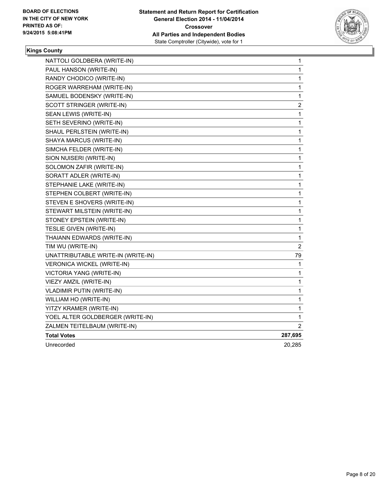

# **Kings County**

| NATTOLI GOLDBERA (WRITE-IN)        | 1              |
|------------------------------------|----------------|
| PAUL HANSON (WRITE-IN)             | 1              |
| RANDY CHODICO (WRITE-IN)           | 1              |
| ROGER WARREHAM (WRITE-IN)          | 1              |
| SAMUEL BODENSKY (WRITE-IN)         | 1              |
| SCOTT STRINGER (WRITE-IN)          | 2              |
| SEAN LEWIS (WRITE-IN)              | 1              |
| SETH SEVERINO (WRITE-IN)           | 1              |
| SHAUL PERLSTEIN (WRITE-IN)         | 1              |
| SHAYA MARCUS (WRITE-IN)            | 1              |
| SIMCHA FELDER (WRITE-IN)           | 1              |
| SION NUISERI (WRITE-IN)            | 1              |
| SOLOMON ZAFIR (WRITE-IN)           | 1              |
| SORATT ADLER (WRITE-IN)            | 1              |
| STEPHANIE LAKE (WRITE-IN)          | 1              |
| STEPHEN COLBERT (WRITE-IN)         | 1              |
| STEVEN E SHOVERS (WRITE-IN)        | 1              |
| STEWART MILSTEIN (WRITE-IN)        | 1              |
| STONEY EPSTEIN (WRITE-IN)          | $\mathbf{1}$   |
| <b>TESLIE GIVEN (WRITE-IN)</b>     | $\mathbf{1}$   |
| THAIANN EDWARDS (WRITE-IN)         | $\mathbf{1}$   |
| TIM WU (WRITE-IN)                  | $\overline{2}$ |
| UNATTRIBUTABLE WRITE-IN (WRITE-IN) | 79             |
| <b>VERONICA WICKEL (WRITE-IN)</b>  | 1              |
| VICTORIA YANG (WRITE-IN)           | 1              |
| VIEZY AMZIL (WRITE-IN)             | 1              |
| <b>VLADIMIR PUTIN (WRITE-IN)</b>   | 1              |
| WILLIAM HO (WRITE-IN)              | 1              |
| YITZY KRAMER (WRITE-IN)            | 1              |
| YOEL ALTER GOLDBERGER (WRITE-IN)   | 1              |
| ZALMEN TEITELBAUM (WRITE-IN)       | 2              |
| <b>Total Votes</b>                 | 287,695        |
| Unrecorded                         | 20,285         |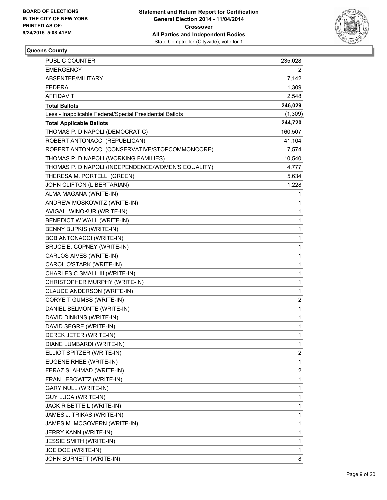

# **Queens County**

| PUBLIC COUNTER                                           | 235,028      |
|----------------------------------------------------------|--------------|
| <b>EMERGENCY</b>                                         | 2            |
| ABSENTEE/MILITARY                                        | 7,142        |
| <b>FEDERAL</b>                                           | 1,309        |
| <b>AFFIDAVIT</b>                                         | 2,548        |
| <b>Total Ballots</b>                                     | 246,029      |
| Less - Inapplicable Federal/Special Presidential Ballots | (1,309)      |
| <b>Total Applicable Ballots</b>                          | 244,720      |
| THOMAS P. DINAPOLI (DEMOCRATIC)                          | 160,507      |
| ROBERT ANTONACCI (REPUBLICAN)                            | 41,104       |
| ROBERT ANTONACCI (CONSERVATIVE/STOPCOMMONCORE)           | 7,574        |
| THOMAS P. DINAPOLI (WORKING FAMILIES)                    | 10,540       |
| THOMAS P. DINAPOLI (INDEPENDENCE/WOMEN'S EQUALITY)       | 4,777        |
| THERESA M. PORTELLI (GREEN)                              | 5,634        |
| JOHN CLIFTON (LIBERTARIAN)                               | 1,228        |
| ALMA MAGANA (WRITE-IN)                                   | 1            |
| ANDREW MOSKOWITZ (WRITE-IN)                              | 1            |
| AVIGAIL WINOKUR (WRITE-IN)                               | 1            |
| BENEDICT W WALL (WRITE-IN)                               | 1            |
| BENNY BUPKIS (WRITE-IN)                                  | $\mathbf{1}$ |
| <b>BOB ANTONACCI (WRITE-IN)</b>                          | 1            |
| BRUCE E. COPNEY (WRITE-IN)                               | 1            |
| CARLOS AIVES (WRITE-IN)                                  | $\mathbf{1}$ |
| CAROL O'STARK (WRITE-IN)                                 | 1            |
| CHARLES C SMALL III (WRITE-IN)                           | 1            |
| CHRISTOPHER MURPHY (WRITE-IN)                            | $\mathbf{1}$ |
| CLAUDE ANDERSON (WRITE-IN)                               | 1            |
| CORYE T GUMBS (WRITE-IN)                                 | 2            |
| DANIEL BELMONTE (WRITE-IN)                               | $\mathbf{1}$ |
| DAVID DINKINS (WRITE-IN)                                 | 1            |
| DAVID SEGRE (WRITE-IN)                                   | 1            |
| DEREK JETER (WRITE-IN)                                   | $\mathbf{1}$ |
| DIANE LUMBARDI (WRITE-IN)                                | 1            |
| ELLIOT SPITZER (WRITE-IN)                                | 2            |
| EUGENE RHEE (WRITE-IN)                                   | $\mathbf{1}$ |
| FERAZ S. AHMAD (WRITE-IN)                                | 2            |
| FRAN LEBOWITZ (WRITE-IN)                                 | $\mathbf{1}$ |
| <b>GARY NULL (WRITE-IN)</b>                              | 1            |
| <b>GUY LUCA (WRITE-IN)</b>                               | 1            |
| JACK R BETTEIL (WRITE-IN)                                | 1            |
| JAMES J. TRIKAS (WRITE-IN)                               | 1            |
| JAMES M. MCGOVERN (WRITE-IN)                             | 1            |
| JERRY KANN (WRITE-IN)                                    | 1            |
| <b>JESSIE SMITH (WRITE-IN)</b>                           | 1            |
| JOE DOE (WRITE-IN)                                       | 1            |
| JOHN BURNETT (WRITE-IN)                                  | 8            |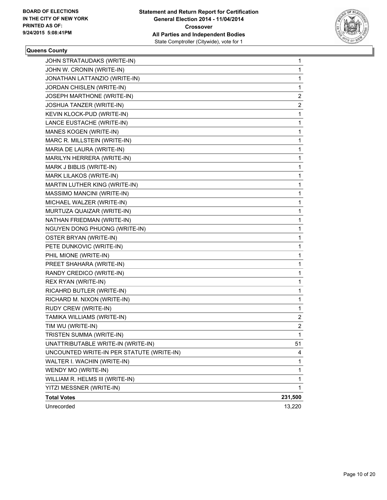

#### **Queens County**

| JOHN STRATAUDAKS (WRITE-IN)               | 1                       |
|-------------------------------------------|-------------------------|
| JOHN W. CRONIN (WRITE-IN)                 | 1                       |
| JONATHAN LATTANZIO (WRITE-IN)             | 1                       |
| JORDAN CHISLEN (WRITE-IN)                 | 1                       |
| JOSEPH MARTHONE (WRITE-IN)                | $\overline{\mathbf{c}}$ |
| JOSHUA TANZER (WRITE-IN)                  | 2                       |
| KEVIN KLOCK-PUD (WRITE-IN)                | 1                       |
| LANCE EUSTACHE (WRITE-IN)                 | 1                       |
| MANES KOGEN (WRITE-IN)                    | 1                       |
| MARC R. MILLSTEIN (WRITE-IN)              | 1                       |
| MARIA DE LAURA (WRITE-IN)                 | 1                       |
| MARILYN HERRERA (WRITE-IN)                | 1                       |
| MARK J BIBLIS (WRITE-IN)                  | 1                       |
| MARK LILAKOS (WRITE-IN)                   | 1                       |
| MARTIN LUTHER KING (WRITE-IN)             | 1                       |
| MASSIMO MANCINI (WRITE-IN)                | 1                       |
| MICHAEL WALZER (WRITE-IN)                 | 1                       |
| MURTUZA QUAIZAR (WRITE-IN)                | 1                       |
| NATHAN FRIEDMAN (WRITE-IN)                | 1                       |
| NGUYEN DONG PHUONG (WRITE-IN)             | 1                       |
| OSTER BRYAN (WRITE-IN)                    | 1                       |
| PETE DUNKOVIC (WRITE-IN)                  | 1                       |
| PHIL MIONE (WRITE-IN)                     | 1                       |
| PREET SHAHARA (WRITE-IN)                  | 1                       |
| RANDY CREDICO (WRITE-IN)                  | 1                       |
| REX RYAN (WRITE-IN)                       | 1                       |
| RICAHRD BUTLER (WRITE-IN)                 | 1                       |
| RICHARD M. NIXON (WRITE-IN)               | 1                       |
| RUDY CREW (WRITE-IN)                      | 1                       |
| TAMIKA WILLIAMS (WRITE-IN)                | 2                       |
| TIM WU (WRITE-IN)                         | 2                       |
| TRISTEN SUMMA (WRITE-IN)                  | 1                       |
| UNATTRIBUTABLE WRITE-IN (WRITE-IN)        | 51                      |
| UNCOUNTED WRITE-IN PER STATUTE (WRITE-IN) | 4                       |
| WALTER I. WACHIN (WRITE-IN)               | 1                       |
| WENDY MO (WRITE-IN)                       | 1                       |
| WILLIAM R. HELMS III (WRITE-IN)           | 1                       |
| YITZI MESSNER (WRITE-IN)                  | 1                       |
| <b>Total Votes</b>                        | 231,500                 |
| Unrecorded                                | 13,220                  |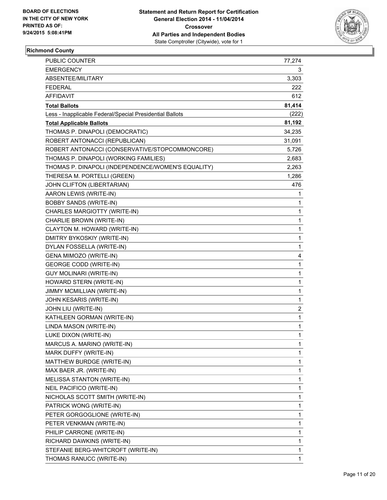

# **Richmond County**

| <b>PUBLIC COUNTER</b>                                    | 77,274      |
|----------------------------------------------------------|-------------|
| EMERGENCY                                                | 3           |
| ABSENTEE/MILITARY                                        | 3,303       |
| <b>FEDERAL</b>                                           | 222         |
| AFFIDAVIT                                                | 612         |
| <b>Total Ballots</b>                                     | 81,414      |
| Less - Inapplicable Federal/Special Presidential Ballots | (222)       |
| <b>Total Applicable Ballots</b>                          | 81,192      |
| THOMAS P. DINAPOLI (DEMOCRATIC)                          | 34,235      |
| ROBERT ANTONACCI (REPUBLICAN)                            | 31,091      |
| ROBERT ANTONACCI (CONSERVATIVE/STOPCOMMONCORE)           | 5,726       |
| THOMAS P. DINAPOLI (WORKING FAMILIES)                    | 2,683       |
| THOMAS P. DINAPOLI (INDEPENDENCE/WOMEN'S EQUALITY)       | 2,263       |
| THERESA M. PORTELLI (GREEN)                              | 1,286       |
| JOHN CLIFTON (LIBERTARIAN)                               | 476         |
| AARON LEWIS (WRITE-IN)                                   | 1           |
| <b>BOBBY SANDS (WRITE-IN)</b>                            | 1           |
| CHARLES MARGIOTTY (WRITE-IN)                             | 1           |
| CHARLIE BROWN (WRITE-IN)                                 | 1           |
| CLAYTON M. HOWARD (WRITE-IN)                             | 1           |
| DMITRY BYKOSKIY (WRITE-IN)                               | 1           |
| DYLAN FOSSELLA (WRITE-IN)                                | $\mathbf 1$ |
| GENA MIMOZO (WRITE-IN)                                   | 4           |
| <b>GEORGE CODD (WRITE-IN)</b>                            | 1           |
| <b>GUY MOLINARI (WRITE-IN)</b>                           | 1           |
| HOWARD STERN (WRITE-IN)                                  | 1           |
| JIMMY MCMILLIAN (WRITE-IN)                               | 1           |
| JOHN KESARIS (WRITE-IN)                                  | 1           |
| JOHN LIU (WRITE-IN)                                      | 2           |
| KATHLEEN GORMAN (WRITE-IN)                               | 1           |
| LINDA MASON (WRITE-IN)                                   | 1           |
| LUKE DIXON (WRITE-IN)                                    | 1           |
| MARCUS A. MARINO (WRITE-IN)                              | 1           |
| MARK DUFFY (WRITE-IN)                                    | 1           |
| MATTHEW BURDGE (WRITE-IN)                                | 1           |
| MAX BAER JR. (WRITE-IN)                                  | 1           |
| MELISSA STANTON (WRITE-IN)                               | 1           |
| NEIL PACIFICO (WRITE-IN)                                 | 1           |
| NICHOLAS SCOTT SMITH (WRITE-IN)                          | 1           |
| PATRICK WONG (WRITE-IN)                                  | 1           |
| PETER GORGOGLIONE (WRITE-IN)                             | 1           |
| PETER VENKMAN (WRITE-IN)                                 | 1           |
| PHILIP CARRONE (WRITE-IN)                                | 1           |
| RICHARD DAWKINS (WRITE-IN)                               | 1           |
| STEFANIE BERG-WHITCROFT (WRITE-IN)                       | 1           |
| THOMAS RANUCC (WRITE-IN)                                 | 1           |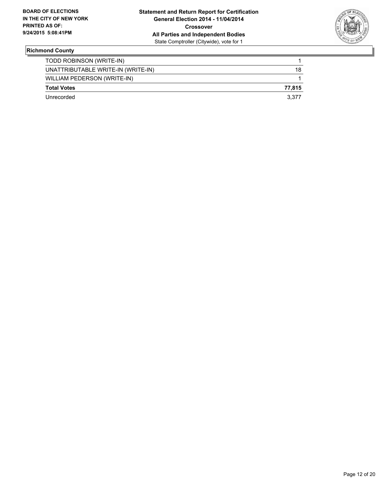

# **Richmond County**

| TODD ROBINSON (WRITE-IN)           |        |
|------------------------------------|--------|
| UNATTRIBUTABLE WRITE-IN (WRITE-IN) | 18     |
| WILLIAM PEDERSON (WRITE-IN)        |        |
| <b>Total Votes</b>                 | 77.815 |
| Unrecorded                         | 3.377  |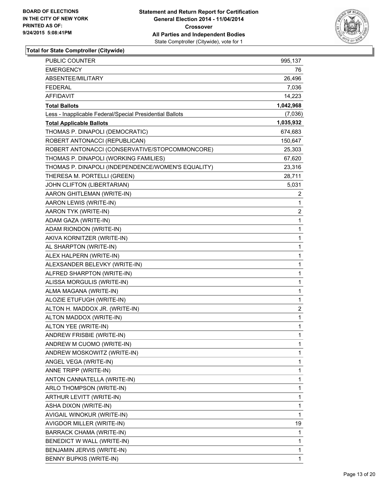

| PUBLIC COUNTER                                           | 995,137        |
|----------------------------------------------------------|----------------|
| <b>EMERGENCY</b>                                         | 76             |
| ABSENTEE/MILITARY                                        | 26,496         |
| <b>FEDERAL</b>                                           | 7,036          |
| <b>AFFIDAVIT</b>                                         | 14,223         |
| <b>Total Ballots</b>                                     | 1,042,968      |
| Less - Inapplicable Federal/Special Presidential Ballots | (7,036)        |
| <b>Total Applicable Ballots</b>                          | 1,035,932      |
| THOMAS P. DINAPOLI (DEMOCRATIC)                          | 674,683        |
| ROBERT ANTONACCI (REPUBLICAN)                            | 150,647        |
| ROBERT ANTONACCI (CONSERVATIVE/STOPCOMMONCORE)           | 25,303         |
| THOMAS P. DINAPOLI (WORKING FAMILIES)                    | 67,620         |
| THOMAS P. DINAPOLI (INDEPENDENCE/WOMEN'S EQUALITY)       | 23,316         |
| THERESA M. PORTELLI (GREEN)                              | 28,711         |
| JOHN CLIFTON (LIBERTARIAN)                               | 5,031          |
| AARON GHITLEMAN (WRITE-IN)                               | 2              |
| AARON LEWIS (WRITE-IN)                                   | 1              |
| AARON TYK (WRITE-IN)                                     | $\overline{2}$ |
| ADAM GAZA (WRITE-IN)                                     | 1              |
| ADAM RIONDON (WRITE-IN)                                  | 1              |
| AKIVA KORNITZER (WRITE-IN)                               | 1              |
| AL SHARPTON (WRITE-IN)                                   | 1              |
| ALEX HALPERN (WRITE-IN)                                  | 1              |
| ALEXSANDER BELEVKY (WRITE-IN)                            | 1              |
| ALFRED SHARPTON (WRITE-IN)                               | 1              |
| ALISSA MORGULIS (WRITE-IN)                               | 1              |
| ALMA MAGANA (WRITE-IN)                                   | 1              |
| ALOZIE ETUFUGH (WRITE-IN)                                | 1              |
| ALTON H. MADDOX JR. (WRITE-IN)                           | 2              |
| ALTON MADDOX (WRITE-IN)                                  | 1              |
| ALTON YEE (WRITE-IN)                                     | 1              |
| <b>ANDREW FRISBIE (WRITE-IN)</b>                         | $\mathbf{1}$   |
| ANDREW M CUOMO (WRITE-IN)                                | 1              |
| ANDREW MOSKOWITZ (WRITE-IN)                              | 1              |
| ANGEL VEGA (WRITE-IN)                                    | 1              |
| ANNE TRIPP (WRITE-IN)                                    | 1              |
| ANTON CANNATELLA (WRITE-IN)                              | 1              |
| ARLO THOMPSON (WRITE-IN)                                 | 1              |
| ARTHUR LEVITT (WRITE-IN)                                 | 1              |
| ASHA DIXON (WRITE-IN)                                    | 1              |
| AVIGAIL WINOKUR (WRITE-IN)                               | $\mathbf{1}$   |
| AVIGDOR MILLER (WRITE-IN)                                | 19             |
| BARRACK CHAMA (WRITE-IN)                                 | 1              |
| BENEDICT W WALL (WRITE-IN)                               | 1              |
| BENJAMIN JERVIS (WRITE-IN)                               | 1              |
| BENNY BUPKIS (WRITE-IN)                                  | 1              |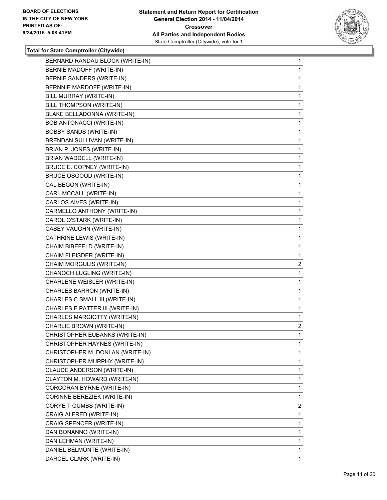

| BERNARD RANDAU BLOCK (WRITE-IN)  | 1            |
|----------------------------------|--------------|
| BERNIE MADOFF (WRITE-IN)         | 1            |
| BERNIE SANDERS (WRITE-IN)        | 1            |
| BERNNIE MARDOFF (WRITE-IN)       | 1            |
| BILL MURRAY (WRITE-IN)           | 1            |
| BILL THOMPSON (WRITE-IN)         | 1            |
| BLAKE BELLADONNA (WRITE-IN)      | 1            |
| <b>BOB ANTONACCI (WRITE-IN)</b>  | 1            |
| <b>BOBBY SANDS (WRITE-IN)</b>    | 1            |
| BRENDAN SULLIVAN (WRITE-IN)      | 1            |
| BRIAN P. JONES (WRITE-IN)        | 1            |
| BRIAN WADDELL (WRITE-IN)         | 1            |
| BRUCE E. COPNEY (WRITE-IN)       | 1            |
| BRUCE OSGOOD (WRITE-IN)          | 1            |
| CAL BEGON (WRITE-IN)             | 1            |
| CARL MCCALL (WRITE-IN)           | 1            |
| CARLOS AIVES (WRITE-IN)          | 1            |
| CARMELLO ANTHONY (WRITE-IN)      | 1            |
| CAROL O'STARK (WRITE-IN)         | 1            |
| CASEY VAUGHN (WRITE-IN)          | 1            |
| CATHRINE LEWIS (WRITE-IN)        | 1            |
| CHAIM BIBEFELD (WRITE-IN)        | 1            |
| CHAIM FLEISDER (WRITE-IN)        | 1            |
| CHAIM MORGULIS (WRITE-IN)        | $\mathbf{2}$ |
| CHANOCH LUGLING (WRITE-IN)       | 1            |
| CHARLENE WEISLER (WRITE-IN)      | 1            |
| CHARLES BARRON (WRITE-IN)        | 1            |
| CHARLES C SMALL III (WRITE-IN)   | 1            |
| CHARLES E PATTER III (WRITE-IN)  | 1            |
| CHARLES MARGIOTTY (WRITE-IN)     | $\mathbf{1}$ |
| CHARLIE BROWN (WRITE-IN)         | 2            |
| CHRISTOPHER EUBANKS (WRITE-IN)   | 1            |
| CHRISTOPHER HAYNES (WRITE-IN)    | 1            |
| CHRISTOPHER M. DONLAN (WRITE-IN) | 1            |
| CHRISTOPHER MURPHY (WRITE-IN)    | 1            |
| CLAUDE ANDERSON (WRITE-IN)       | 1            |
| CLAYTON M. HOWARD (WRITE-IN)     | 1            |
| CORCORAN BYRNE (WRITE-IN)        | 1            |
| CORINNE BEREZIEK (WRITE-IN)      | 1            |
| CORYE T GUMBS (WRITE-IN)         | $\mathbf{2}$ |
| CRAIG ALFRED (WRITE-IN)          | 1            |
| CRAIG SPENCER (WRITE-IN)         | 1            |
| DAN BONANNO (WRITE-IN)           | 1            |
| DAN LEHMAN (WRITE-IN)            | 1            |
| DANIEL BELMONTE (WRITE-IN)       | 1            |
| DARCEL CLARK (WRITE-IN)          | 1.           |
|                                  |              |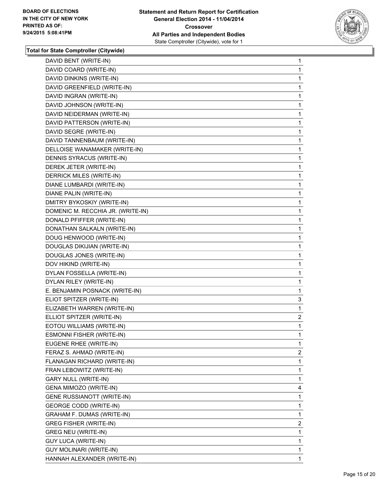

| DAVID BENT (WRITE-IN)             | 1              |
|-----------------------------------|----------------|
| DAVID COARD (WRITE-IN)            | 1              |
| DAVID DINKINS (WRITE-IN)          | 1              |
| DAVID GREENFIELD (WRITE-IN)       | 1              |
| DAVID INGRAN (WRITE-IN)           | 1              |
| DAVID JOHNSON (WRITE-IN)          | 1              |
| DAVID NEIDERMAN (WRITE-IN)        | 1              |
| DAVID PATTERSON (WRITE-IN)        | 1              |
| DAVID SEGRE (WRITE-IN)            | 1              |
| DAVID TANNENBAUM (WRITE-IN)       | 1              |
| DELLOISE WANAMAKER (WRITE-IN)     | 1              |
| DENNIS SYRACUS (WRITE-IN)         | 1              |
| DEREK JETER (WRITE-IN)            | 1              |
| DERRICK MILES (WRITE-IN)          | 1              |
| DIANE LUMBARDI (WRITE-IN)         | 1              |
| DIANE PALIN (WRITE-IN)            | 1              |
| DMITRY BYKOSKIY (WRITE-IN)        | 1              |
| DOMENIC M. RECCHIA JR. (WRITE-IN) | 1              |
| DONALD PFIFFER (WRITE-IN)         | 1              |
| DONATHAN SALKALN (WRITE-IN)       | 1              |
| DOUG HENWOOD (WRITE-IN)           | 1              |
| DOUGLAS DIKIJIAN (WRITE-IN)       | 1              |
| DOUGLAS JONES (WRITE-IN)          | 1              |
| DOV HIKIND (WRITE-IN)             | 1              |
| DYLAN FOSSELLA (WRITE-IN)         | 1              |
| DYLAN RILEY (WRITE-IN)            | 1              |
| E. BENJAMIN POSNACK (WRITE-IN)    | 1              |
| ELIOT SPITZER (WRITE-IN)          | 3              |
| ELIZABETH WARREN (WRITE-IN)       | 1              |
| ELLIOT SPITZER (WRITE-IN)         | $\mathbf{2}$   |
| EOTOU WILLIAMS (WRITE-IN)         | 1              |
| <b>ESMONNI FISHER (WRITE-IN)</b>  | 1              |
| EUGENE RHEE (WRITE-IN)            | 1              |
| FERAZ S. AHMAD (WRITE-IN)         | $\mathbf{2}$   |
| FLANAGAN RICHARD (WRITE-IN)       | 1              |
| FRAN LEBOWITZ (WRITE-IN)          | 1              |
| <b>GARY NULL (WRITE-IN)</b>       | 1              |
| GENA MIMOZO (WRITE-IN)            | 4              |
| <b>GENE RUSSIANOTT (WRITE-IN)</b> | 1              |
| <b>GEORGE CODD (WRITE-IN)</b>     | 1              |
| <b>GRAHAM F. DUMAS (WRITE-IN)</b> | 1              |
| <b>GREG FISHER (WRITE-IN)</b>     | $\overline{2}$ |
| <b>GREG NEU (WRITE-IN)</b>        | 1              |
| <b>GUY LUCA (WRITE-IN)</b>        | 1              |
| <b>GUY MOLINARI (WRITE-IN)</b>    | 1              |
| HANNAH ALEXANDER (WRITE-IN)       | $\mathbf{1}$   |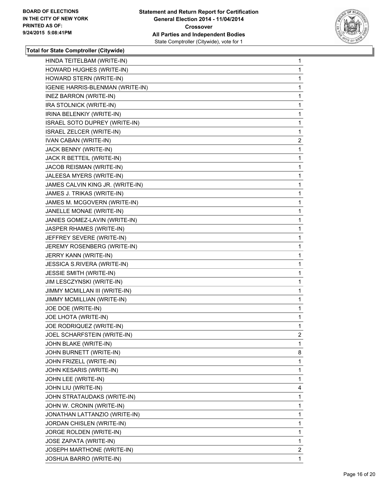

| HINDA TEITELBAM (WRITE-IN)       | 1              |
|----------------------------------|----------------|
| HOWARD HUGHES (WRITE-IN)         | 1              |
| HOWARD STERN (WRITE-IN)          | 1              |
| IGENIE HARRIS-BLENMAN (WRITE-IN) | 1              |
| <b>INEZ BARRON (WRITE-IN)</b>    | 1              |
| IRA STOLNICK (WRITE-IN)          | 1              |
| IRINA BELENKIY (WRITE-IN)        | 1              |
| ISRAEL SOTO DUPREY (WRITE-IN)    | 1              |
| ISRAEL ZELCER (WRITE-IN)         | 1              |
| <b>IVAN CABAN (WRITE-IN)</b>     | 2              |
| JACK BENNY (WRITE-IN)            | 1              |
| JACK R BETTEIL (WRITE-IN)        | 1              |
| JACOB REISMAN (WRITE-IN)         | 1              |
| JALEESA MYERS (WRITE-IN)         | 1              |
| JAMES CALVIN KING JR. (WRITE-IN) | 1              |
| JAMES J. TRIKAS (WRITE-IN)       | 1              |
| JAMES M. MCGOVERN (WRITE-IN)     | 1              |
| JANELLE MONAE (WRITE-IN)         | 1              |
| JANIES GOMEZ-LAVIN (WRITE-IN)    | 1              |
| JASPER RHAMES (WRITE-IN)         | 1              |
| JEFFREY SEVERE (WRITE-IN)        | 1              |
| JEREMY ROSENBERG (WRITE-IN)      | 1              |
| JERRY KANN (WRITE-IN)            | 1              |
| JESSICA S.RIVERA (WRITE-IN)      | 1              |
| JESSIE SMITH (WRITE-IN)          | 1              |
| JIM LESCZYNSKI (WRITE-IN)        | 1              |
| JIMMY MCMILLAN III (WRITE-IN)    | 1              |
| JIMMY MCMILLIAN (WRITE-IN)       | 1              |
| JOE DOE (WRITE-IN)               | 1              |
| JOE LHOTA (WRITE-IN)             | 1              |
| JOE RODRIQUEZ (WRITE-IN)         | 1              |
| JOEL SCHARFSTEIN (WRITE-IN)      | 2              |
| JOHN BLAKE (WRITE-IN)            | 1              |
| JOHN BURNETT (WRITE-IN)          | 8              |
| JOHN FRIZELL (WRITE-IN)          | 1              |
| JOHN KESARIS (WRITE-IN)          | 1              |
| JOHN LEE (WRITE-IN)              | 1              |
| JOHN LIU (WRITE-IN)              | 4              |
| JOHN STRATAUDAKS (WRITE-IN)      | 1              |
| JOHN W. CRONIN (WRITE-IN)        | 1              |
| JONATHAN LATTANZIO (WRITE-IN)    | 1              |
| JORDAN CHISLEN (WRITE-IN)        | 1              |
| JORGE ROLDEN (WRITE-IN)          | 1              |
| JOSE ZAPATA (WRITE-IN)           | 1              |
| JOSEPH MARTHONE (WRITE-IN)       | $\overline{2}$ |
| JOSHUA BARRO (WRITE-IN)          | 1              |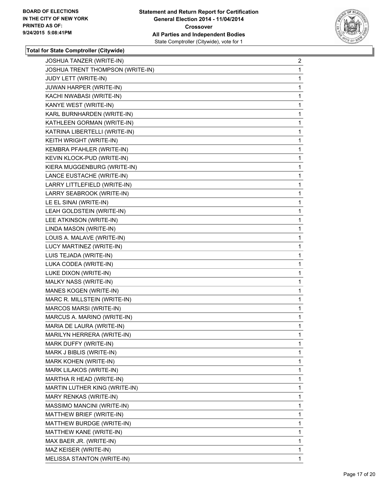

| JOSHUA TANZER (WRITE-IN)         | 2 |
|----------------------------------|---|
| JOSHUA TRENT THOMPSON (WRITE-IN) | 1 |
| <b>JUDY LETT (WRITE-IN)</b>      | 1 |
| JUWAN HARPER (WRITE-IN)          | 1 |
| KACHI NWABASI (WRITE-IN)         | 1 |
| KANYE WEST (WRITE-IN)            | 1 |
| KARL BURNHARDEN (WRITE-IN)       | 1 |
| KATHLEEN GORMAN (WRITE-IN)       | 1 |
| KATRINA LIBERTELLI (WRITE-IN)    | 1 |
| KEITH WRIGHT (WRITE-IN)          | 1 |
| KEMBRA PFAHLER (WRITE-IN)        | 1 |
| KEVIN KLOCK-PUD (WRITE-IN)       | 1 |
| KIERA MUGGENBURG (WRITE-IN)      | 1 |
| LANCE EUSTACHE (WRITE-IN)        | 1 |
| LARRY LITTLEFIELD (WRITE-IN)     | 1 |
| LARRY SEABROOK (WRITE-IN)        | 1 |
| LE EL SINAI (WRITE-IN)           | 1 |
| LEAH GOLDSTEIN (WRITE-IN)        | 1 |
| LEE ATKINSON (WRITE-IN)          | 1 |
| LINDA MASON (WRITE-IN)           | 1 |
| LOUIS A. MALAVE (WRITE-IN)       | 1 |
| LUCY MARTINEZ (WRITE-IN)         | 1 |
| LUIS TEJADA (WRITE-IN)           | 1 |
| LUKA CODEA (WRITE-IN)            | 1 |
| LUKE DIXON (WRITE-IN)            | 1 |
| MALKY NASS (WRITE-IN)            | 1 |
| MANES KOGEN (WRITE-IN)           | 1 |
| MARC R. MILLSTEIN (WRITE-IN)     | 1 |
| MARCOS MARSI (WRITE-IN)          | 1 |
| MARCUS A. MARINO (WRITE-IN)      | 1 |
| MARIA DE LAURA (WRITE-IN)        | 1 |
| MARILYN HERRERA (WRITE-IN)       | 1 |
| MARK DUFFY (WRITE-IN)            | 1 |
| MARK J BIBLIS (WRITE-IN)         | 1 |
| MARK KOHEN (WRITE-IN)            | 1 |
| MARK LILAKOS (WRITE-IN)          | 1 |
| MARTHA R HEAD (WRITE-IN)         | 1 |
| MARTIN LUTHER KING (WRITE-IN)    | 1 |
| MARY RENKAS (WRITE-IN)           | 1 |
| MASSIMO MANCINI (WRITE-IN)       | 1 |
| MATTHEW BRIEF (WRITE-IN)         | 1 |
| MATTHEW BURDGE (WRITE-IN)        | 1 |
| MATTHEW KANE (WRITE-IN)          | 1 |
| MAX BAER JR. (WRITE-IN)          | 1 |
| MAZ KEISER (WRITE-IN)            | 1 |
| MELISSA STANTON (WRITE-IN)       | 1 |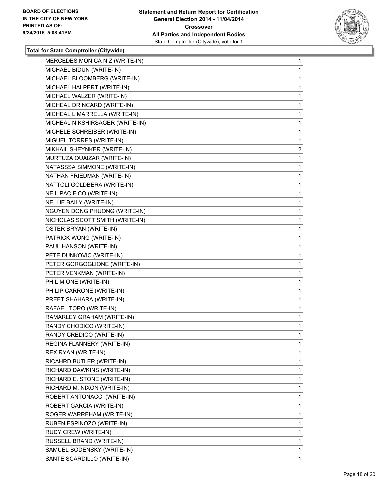

| MERCEDES MONICA NIZ (WRITE-IN)  | $\mathbf{1}$ |
|---------------------------------|--------------|
| MICHAEL BIDUN (WRITE-IN)        | 1            |
| MICHAEL BLOOMBERG (WRITE-IN)    | 1            |
| MICHAEL HALPERT (WRITE-IN)      | 1            |
| MICHAEL WALZER (WRITE-IN)       | 1            |
| MICHEAL DRINCARD (WRITE-IN)     | 1            |
| MICHEAL L MARRELLA (WRITE-IN)   | 1            |
| MICHEAL N KSHIRSAGER (WRITE-IN) | 1            |
| MICHELE SCHREIBER (WRITE-IN)    | 1            |
| MIGUEL TORRES (WRITE-IN)        | 1            |
| MIKHAIL SHEYNKER (WRITE-IN)     | 2            |
| MURTUZA QUAIZAR (WRITE-IN)      | 1            |
| NATASSSA SIMMONE (WRITE-IN)     | 1            |
| NATHAN FRIEDMAN (WRITE-IN)      | 1            |
| NATTOLI GOLDBERA (WRITE-IN)     | 1            |
| NEIL PACIFICO (WRITE-IN)        | 1            |
| NELLIE BAILY (WRITE-IN)         | 1            |
| NGUYEN DONG PHUONG (WRITE-IN)   | 1            |
| NICHOLAS SCOTT SMITH (WRITE-IN) | 1            |
| OSTER BRYAN (WRITE-IN)          | 1            |
| PATRICK WONG (WRITE-IN)         | 1            |
| PAUL HANSON (WRITE-IN)          | 1            |
| PETE DUNKOVIC (WRITE-IN)        | 1            |
| PETER GORGOGLIONE (WRITE-IN)    | 1            |
| PETER VENKMAN (WRITE-IN)        | 1            |
| PHIL MIONE (WRITE-IN)           | 1            |
| PHILIP CARRONE (WRITE-IN)       | 1            |
| PREET SHAHARA (WRITE-IN)        | 1            |
| RAFAEL TORO (WRITE-IN)          | 1            |
| RAMARLEY GRAHAM (WRITE-IN)      | 1            |
| RANDY CHODICO (WRITE-IN)        | 1            |
| RANDY CREDICO (WRITE-IN)        | 1            |
| REGINA FLANNERY (WRITE-IN)      | 1            |
| REX RYAN (WRITE-IN)             | 1            |
| RICAHRD BUTLER (WRITE-IN)       | 1            |
| RICHARD DAWKINS (WRITE-IN)      | 1            |
| RICHARD E. STONE (WRITE-IN)     | 1            |
| RICHARD M. NIXON (WRITE-IN)     | 1            |
| ROBERT ANTONACCI (WRITE-IN)     | 1            |
| ROBERT GARCIA (WRITE-IN)        | 1            |
| ROGER WARREHAM (WRITE-IN)       | 1            |
| RUBEN ESPINOZO (WRITE-IN)       | 1            |
| RUDY CREW (WRITE-IN)            | 1            |
| RUSSELL BRAND (WRITE-IN)        | 1            |
| SAMUEL BODENSKY (WRITE-IN)      | $\mathbf{1}$ |
| SANTE SCARDILLO (WRITE-IN)      | 1.           |
|                                 |              |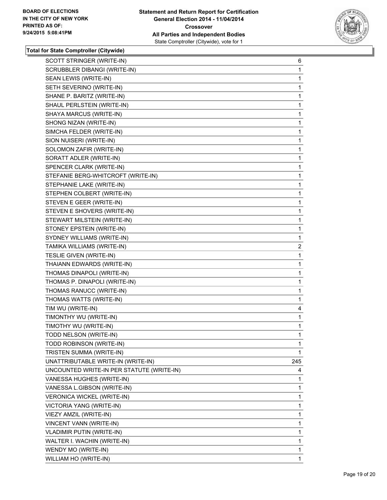

| SCOTT STRINGER (WRITE-IN)                 | 6   |
|-------------------------------------------|-----|
| SCRUBBLER DIBANGI (WRITE-IN)              | 1   |
| SEAN LEWIS (WRITE-IN)                     | 1   |
| SETH SEVERINO (WRITE-IN)                  | 1   |
| SHANE P. BARITZ (WRITE-IN)                | 1   |
| SHAUL PERLSTEIN (WRITE-IN)                | 1   |
| SHAYA MARCUS (WRITE-IN)                   | 1   |
| SHONG NIZAN (WRITE-IN)                    | 1   |
| SIMCHA FELDER (WRITE-IN)                  | 1   |
| SION NUISERI (WRITE-IN)                   | 1   |
| SOLOMON ZAFIR (WRITE-IN)                  | 1   |
| SORATT ADLER (WRITE-IN)                   | 1   |
| SPENCER CLARK (WRITE-IN)                  | 1   |
| STEFANIE BERG-WHITCROFT (WRITE-IN)        | 1   |
| STEPHANIE LAKE (WRITE-IN)                 | 1   |
| STEPHEN COLBERT (WRITE-IN)                | 1   |
| STEVEN E GEER (WRITE-IN)                  | 1   |
| STEVEN E SHOVERS (WRITE-IN)               | 1   |
| STEWART MILSTEIN (WRITE-IN)               | 1   |
| STONEY EPSTEIN (WRITE-IN)                 | 1   |
| SYDNEY WILLIAMS (WRITE-IN)                | 1   |
| TAMIKA WILLIAMS (WRITE-IN)                | 2   |
| TESLIE GIVEN (WRITE-IN)                   | 1   |
| THAIANN EDWARDS (WRITE-IN)                | 1   |
| THOMAS DINAPOLI (WRITE-IN)                | 1   |
| THOMAS P. DINAPOLI (WRITE-IN)             | 1   |
| THOMAS RANUCC (WRITE-IN)                  | 1   |
| THOMAS WATTS (WRITE-IN)                   | 1   |
| TIM WU (WRITE-IN)                         | 4   |
| TIMONTHY WU (WRITE-IN)                    | 1   |
| TIMOTHY WU (WRITE-IN)                     | 1   |
| TODD NELSON (WRITE-IN)                    | 1   |
| TODD ROBINSON (WRITE-IN)                  | 1   |
| TRISTEN SUMMA (WRITE-IN)                  | 1   |
| UNATTRIBUTABLE WRITE-IN (WRITE-IN)        | 245 |
| UNCOUNTED WRITE-IN PER STATUTE (WRITE-IN) | 4   |
| VANESSA HUGHES (WRITE-IN)                 | 1   |
| VANESSA L.GIBSON (WRITE-IN)               | 1   |
| VERONICA WICKEL (WRITE-IN)                | 1   |
| VICTORIA YANG (WRITE-IN)                  | 1   |
| VIEZY AMZIL (WRITE-IN)                    | 1   |
| VINCENT VANN (WRITE-IN)                   | 1   |
| <b>VLADIMIR PUTIN (WRITE-IN)</b>          | 1   |
| WALTER I. WACHIN (WRITE-IN)               | 1   |
| WENDY MO (WRITE-IN)                       | 1   |
| WILLIAM HO (WRITE-IN)                     | 1   |
|                                           |     |